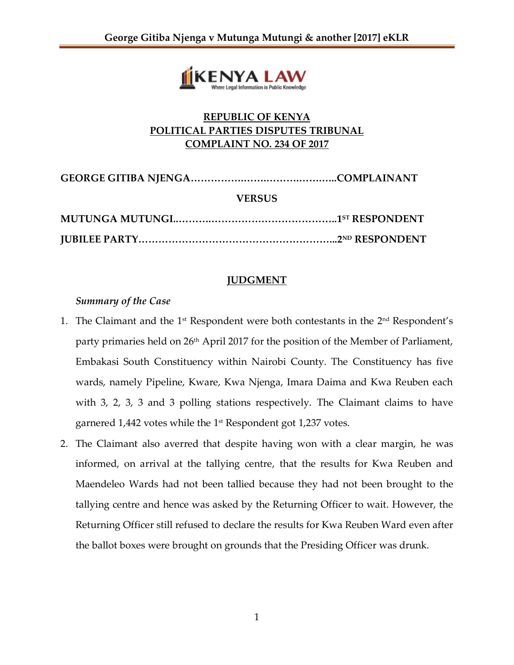

# **REPUBLIC OF KENYA POLITICAL PARTIES DISPUTES TRIBUNAL COMPLAINT NO. 234 OF 2017**

| <b>VERSUS</b> |  |
|---------------|--|
|               |  |
|               |  |

## **JUDGMENT**

### *Summary of the Case*

- 1. The Claimant and the  $1<sup>st</sup>$  Respondent were both contestants in the  $2<sup>nd</sup>$  Respondent's party primaries held on 26<sup>th</sup> April 2017 for the position of the Member of Parliament*,* Embakasi South Constituency within Nairobi County. The Constituency has five wards, namely Pipeline, Kware, Kwa Njenga, Imara Daima and Kwa Reuben each with 3, 2, 3, 3 and 3 polling stations respectively. The Claimant claims to have garnered 1,442 votes while the  $1^\text{st}$  Respondent got 1,237 votes.
- 2. The Claimant also averred that despite having won with a clear margin, he was informed, on arrival at the tallying centre, that the results for Kwa Reuben and Maendeleo Wards had not been tallied because they had not been brought to the tallying centre and hence was asked by the Returning Officer to wait. However, the Returning Officer still refused to declare the results for Kwa Reuben Ward even after the ballot boxes were brought on grounds that the Presiding Officer was drunk.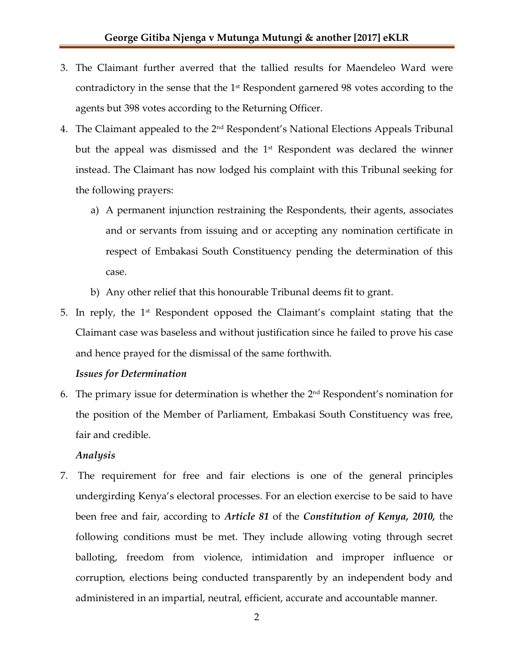- 3. The Claimant further averred that the tallied results for Maendeleo Ward were contradictory in the sense that the 1<sup>st</sup> Respondent garnered 98 votes according to the agents but 398 votes according to the Returning Officer.
- 4. The Claimant appealed to the 2nd Respondent's National Elections Appeals Tribunal but the appeal was dismissed and the  $1<sup>st</sup>$  Respondent was declared the winner instead. The Claimant has now lodged his complaint with this Tribunal seeking for the following prayers:
	- a) A permanent injunction restraining the Respondents, their agents, associates and or servants from issuing and or accepting any nomination certificate in respect of Embakasi South Constituency pending the determination of this case.
	- b) Any other relief that this honourable Tribunal deems fit to grant.
- 5. In reply, the 1st Respondent opposed the Claimant's complaint stating that the Claimant case was baseless and without justification since he failed to prove his case and hence prayed for the dismissal of the same forthwith.

### *Issues for Determination*

6. The primary issue for determination is whether the  $2<sup>nd</sup>$  Respondent's nomination for the position of the Member of Parliament, Embakasi South Constituency was free, fair and credible.

### *Analysis*

7. The requirement for free and fair elections is one of the general principles undergirding Kenya's electoral processes. For an election exercise to be said to have been free and fair, according to *Article 81* of the *Constitution of Kenya, 2010,* the following conditions must be met. They include allowing voting through secret balloting, freedom from violence, intimidation and improper influence or corruption, elections being conducted transparently by an independent body and administered in an impartial, neutral, efficient, accurate and accountable manner.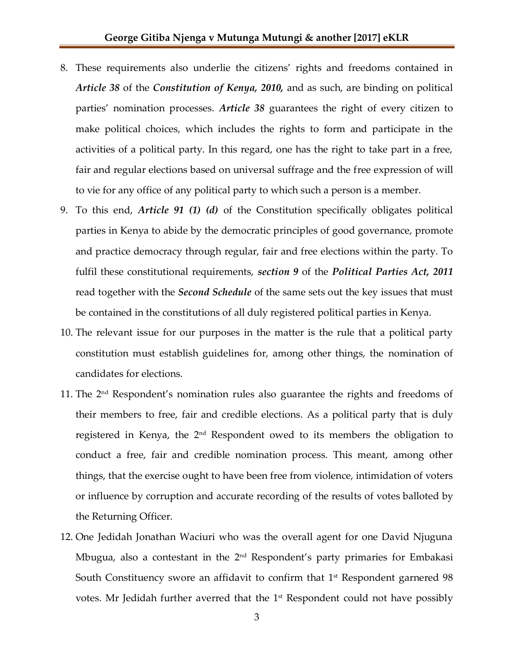- 8. These requirements also underlie the citizens' rights and freedoms contained in *Article 38* of the *Constitution of Kenya, 2010,* and as such, are binding on political parties' nomination processes. *Article 38* guarantees the right of every citizen to make political choices, which includes the rights to form and participate in the activities of a political party. In this regard, one has the right to take part in a free, fair and regular elections based on universal suffrage and the free expression of will to vie for any office of any political party to which such a person is a member.
- 9. To this end, *Article 91 (1) (d)* of the Constitution specifically obligates political parties in Kenya to abide by the democratic principles of good governance, promote and practice democracy through regular, fair and free elections within the party. To fulfil these constitutional requirements, *section 9* of the *Political Parties Act, 2011* read together with the *Second Schedule* of the same sets out the key issues that must be contained in the constitutions of all duly registered political parties in Kenya.
- 10. The relevant issue for our purposes in the matter is the rule that a political party constitution must establish guidelines for, among other things, the nomination of candidates for elections.
- 11. The 2<sup>nd</sup> Respondent's nomination rules also guarantee the rights and freedoms of their members to free, fair and credible elections. As a political party that is duly registered in Kenya, the 2nd Respondent owed to its members the obligation to conduct a free, fair and credible nomination process. This meant, among other things, that the exercise ought to have been free from violence, intimidation of voters or influence by corruption and accurate recording of the results of votes balloted by the Returning Officer.
- 12. One Jedidah Jonathan Waciuri who was the overall agent for one David Njuguna Mbugua, also a contestant in the 2<sup>nd</sup> Respondent's party primaries for Embakasi South Constituency swore an affidavit to confirm that  $1<sup>st</sup>$  Respondent garnered 98 votes. Mr Jedidah further averred that the  $1<sup>st</sup>$  Respondent could not have possibly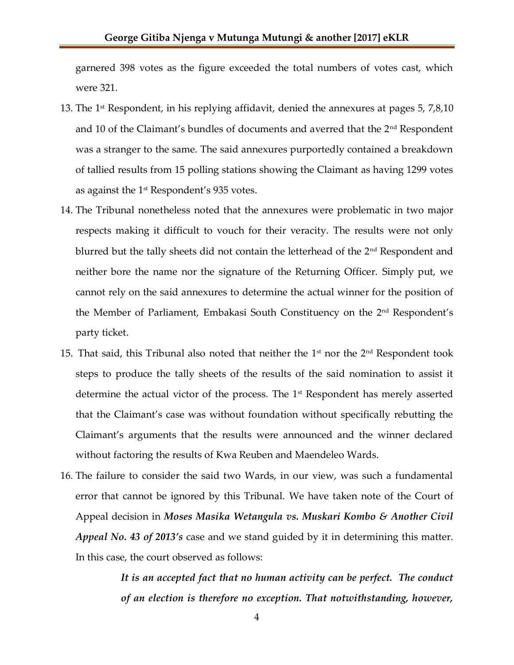garnered 398 votes as the figure exceeded the total numbers of votes cast, which were 321.

- 13. The 1<sup>st</sup> Respondent, in his replying affidavit, denied the annexures at pages 5, 7,8,10 and 10 of the Claimant's bundles of documents and averred that the  $2<sup>nd</sup>$  Respondent was a stranger to the same. The said annexures purportedly contained a breakdown of tallied results from 15 polling stations showing the Claimant as having 1299 votes as against the 1<sup>st</sup> Respondent's 935 votes.
- 14. The Tribunal nonetheless noted that the annexures were problematic in two major respects making it difficult to vouch for their veracity. The results were not only blurred but the tally sheets did not contain the letterhead of the 2<sup>nd</sup> Respondent and neither bore the name nor the signature of the Returning Officer. Simply put, we cannot rely on the said annexures to determine the actual winner for the position of the Member of Parliament, Embakasi South Constituency on the 2nd Respondent's party ticket.
- 15. That said, this Tribunal also noted that neither the  $1<sup>st</sup>$  nor the  $2<sup>nd</sup>$  Respondent took steps to produce the tally sheets of the results of the said nomination to assist it determine the actual victor of the process. The  $1<sup>st</sup>$  Respondent has merely asserted that the Claimant's case was without foundation without specifically rebutting the Claimant's arguments that the results were announced and the winner declared without factoring the results of Kwa Reuben and Maendeleo Wards.
- 16. The failure to consider the said two Wards, in our view, was such a fundamental error that cannot be ignored by this Tribunal. We have taken note of the Court of Appeal decision in *Moses Masika Wetangula vs. Muskari Kombo & Another Civil Appeal No. 43 of 2013's* case and we stand guided by it in determining this matter. In this case, the court observed as follows:

*It is an accepted fact that no human activity can be perfect. The conduct of an election is therefore no exception. That notwithstanding, however,*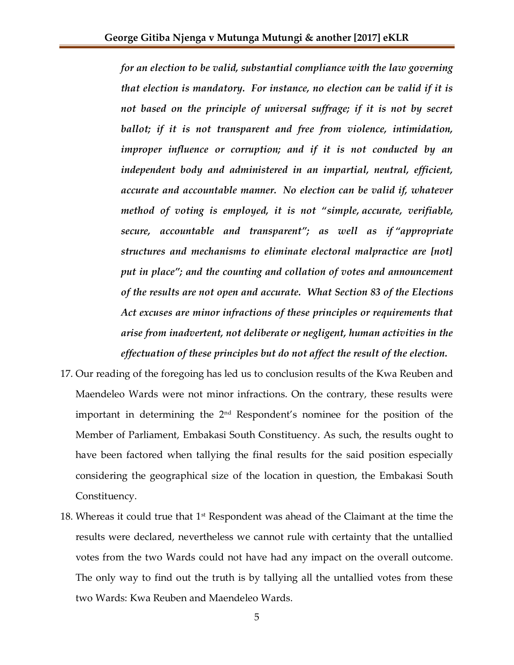*for an election to be valid, substantial compliance with the law governing that election is mandatory. For instance, no election can be valid if it is*  not based on the principle of universal suffrage; if it is not by secret *ballot; if it is not transparent and free from violence, intimidation, improper influence or corruption; and if it is not conducted by an independent body and administered in an impartial, neutral, efficient, accurate and accountable manner. No election can be valid if, whatever method of voting is employed, it is not "simple, accurate, verifiable, secure, accountable and transparent"; as well as if "appropriate structures and mechanisms to eliminate electoral malpractice are [not] put in place"; and the counting and collation of votes and announcement of the results are not open and accurate. What Section 83 of the Elections Act excuses are minor infractions of these principles or requirements that arise from inadvertent, not deliberate or negligent, human activities in the effectuation of these principles but do not affect the result of the election.*

- 17. Our reading of the foregoing has led us to conclusion results of the Kwa Reuben and Maendeleo Wards were not minor infractions. On the contrary, these results were important in determining the 2<sup>nd</sup> Respondent's nominee for the position of the Member of Parliament, Embakasi South Constituency. As such, the results ought to have been factored when tallying the final results for the said position especially considering the geographical size of the location in question, the Embakasi South Constituency.
- 18. Whereas it could true that  $1<sup>st</sup>$  Respondent was ahead of the Claimant at the time the results were declared, nevertheless we cannot rule with certainty that the untallied votes from the two Wards could not have had any impact on the overall outcome. The only way to find out the truth is by tallying all the untallied votes from these two Wards: Kwa Reuben and Maendeleo Wards.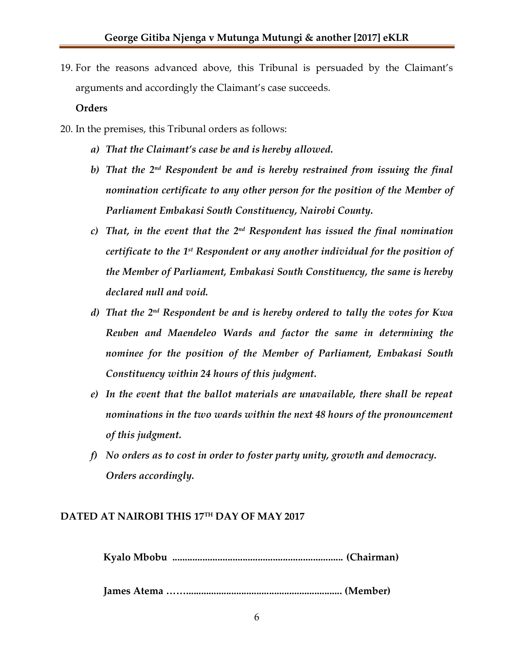19. For the reasons advanced above, this Tribunal is persuaded by the Claimant's arguments and accordingly the Claimant's case succeeds.

### **Orders**

20. In the premises, this Tribunal orders as follows:

- *a) That the Claimant's case be and is hereby allowed.*
- b) That the 2<sup>nd</sup> Respondent be and is hereby restrained from issuing the final *nomination certificate to any other person for the position of the Member of Parliament Embakasi South Constituency, Nairobi County.*
- c) That, in the event that the 2<sup>nd</sup> Respondent has issued the final nomination certificate to the 1st Respondent or any another individual for the position of *the Member of Parliament, Embakasi South Constituency, the same is hereby declared null and void.*
- *d) That the 2 nd Respondent be and is hereby ordered to tally the votes for Kwa Reuben and Maendeleo Wards and factor the same in determining the nominee for the position of the Member of Parliament, Embakasi South Constituency within 24 hours of this judgment.*
- *e) In the event that the ballot materials are unavailable, there shall be repeat nominations in the two wards within the next 48 hours of the pronouncement of this judgment.*
- *f) No orders as to cost in order to foster party unity, growth and democracy. Orders accordingly.*

#### **DATED AT NAIROBI THIS 17TH DAY OF MAY 2017**

 **Kyalo Mbobu .................................................................... (Chairman)**

 **James Atema …….............................................................. (Member)**